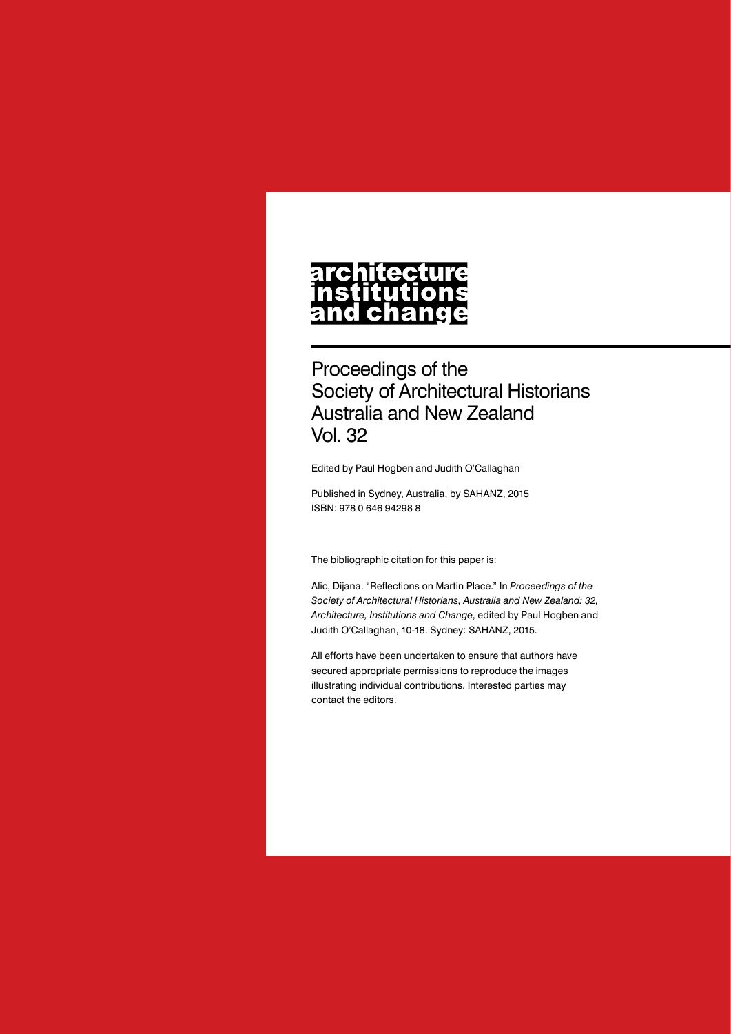#### architecture nstitutions **Ch** nd a

Proceedings of the Society of Architectural Historians Australia and New Zealand Vol. 32

Edited by Paul Hogben and Judith O'Callaghan

Published in Sydney, Australia, by SAHANZ, 2015 ISBN: 978 0 646 94298 8

The bibliographic citation for this paper is:

Alic, Dijana. "Reflections on Martin Place." In *Proceedings of the Society of Architectural Historians, Australia and New Zealand: 32, Architecture, Institutions and Change*, edited by Paul Hogben and Judith O'Callaghan, 10-18. Sydney: SAHANZ, 2015.

All efforts have been undertaken to ensure that authors have secured appropriate permissions to reproduce the images illustrating individual contributions. Interested parties may contact the editors.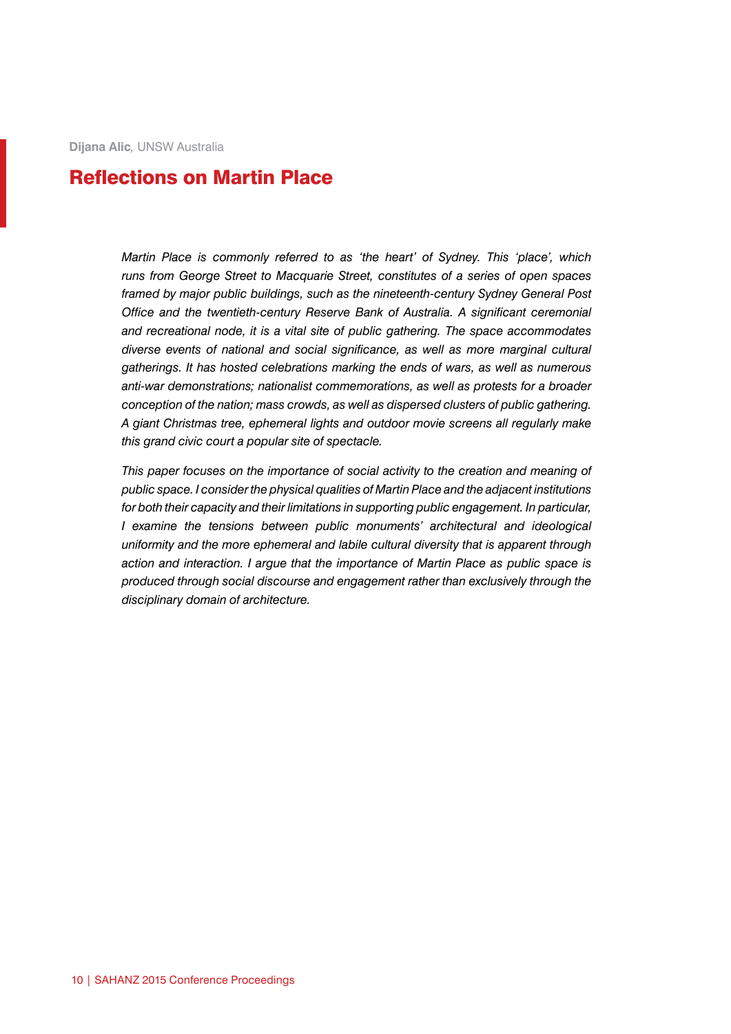**Dijana Alic***,* UNSW Australia

# Reflections on Martin Place

*Martin Place is commonly referred to as 'the heart' of Sydney. This 'place', which runs from George Street to Macquarie Street, constitutes of a series of open spaces framed by major public buildings, such as the nineteenth-century Sydney General Post Office and the twentieth-century Reserve Bank of Australia. A significant ceremonial and recreational node, it is a vital site of public gathering. The space accommodates diverse events of national and social significance, as well as more marginal cultural gatherings. It has hosted celebrations marking the ends of wars, as well as numerous anti-war demonstrations; nationalist commemorations, as well as protests for a broader conception of the nation; mass crowds, as well as dispersed clusters of public gathering. A giant Christmas tree, ephemeral lights and outdoor movie screens all regularly make this grand civic court a popular site of spectacle.* 

*This paper focuses on the importance of social activity to the creation and meaning of public space. I consider the physical qualities of Martin Place and the adjacent institutions for both their capacity and their limitations in supporting public engagement. In particular, I examine the tensions between public monuments' architectural and ideological uniformity and the more ephemeral and labile cultural diversity that is apparent through action and interaction. I argue that the importance of Martin Place as public space is produced through social discourse and engagement rather than exclusively through the disciplinary domain of architecture.*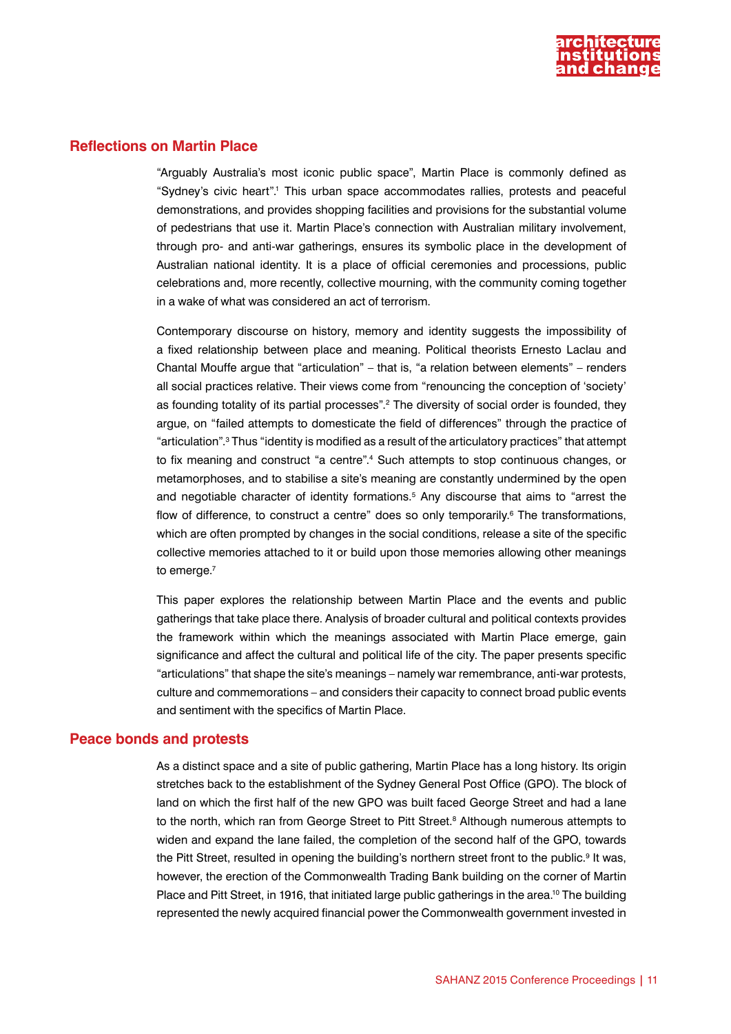

## **Reflections on Martin Place**

"Arguably Australia's most iconic public space", Martin Place is commonly defined as "Sydney's civic heart".<sup>1</sup> This urban space accommodates rallies, protests and peaceful demonstrations, and provides shopping facilities and provisions for the substantial volume of pedestrians that use it. Martin Place's connection with Australian military involvement, through pro- and anti-war gatherings, ensures its symbolic place in the development of Australian national identity. It is a place of official ceremonies and processions, public celebrations and, more recently, collective mourning, with the community coming together in a wake of what was considered an act of terrorism.

Contemporary discourse on history, memory and identity suggests the impossibility of a fixed relationship between place and meaning. Political theorists Ernesto Laclau and Chantal Mouffe argue that "articulation" – that is, "a relation between elements" – renders all social practices relative. Their views come from "renouncing the conception of 'society' as founding totality of its partial processes".<sup>2</sup> The diversity of social order is founded, they argue, on "failed attempts to domesticate the field of differences" through the practice of "articulation".3 Thus "identity is modified as a result of the articulatory practices" that attempt to fix meaning and construct "a centre".<sup>4</sup> Such attempts to stop continuous changes, or metamorphoses, and to stabilise a site's meaning are constantly undermined by the open and negotiable character of identity formations.5 Any discourse that aims to "arrest the flow of difference, to construct a centre" does so only temporarily.<sup>6</sup> The transformations, which are often prompted by changes in the social conditions, release a site of the specific collective memories attached to it or build upon those memories allowing other meanings to emerge.<sup>7</sup>

This paper explores the relationship between Martin Place and the events and public gatherings that take place there. Analysis of broader cultural and political contexts provides the framework within which the meanings associated with Martin Place emerge, gain significance and affect the cultural and political life of the city. The paper presents specific "articulations" that shape the site's meanings – namely war remembrance, anti-war protests, culture and commemorations – and considers their capacity to connect broad public events and sentiment with the specifics of Martin Place.

### **Peace bonds and protests**

As a distinct space and a site of public gathering, Martin Place has a long history. Its origin stretches back to the establishment of the Sydney General Post Office (GPO). The block of land on which the first half of the new GPO was built faced George Street and had a lane to the north, which ran from George Street to Pitt Street.<sup>8</sup> Although numerous attempts to widen and expand the lane failed, the completion of the second half of the GPO, towards the Pitt Street, resulted in opening the building's northern street front to the public.<sup>9</sup> It was, however, the erection of the Commonwealth Trading Bank building on the corner of Martin Place and Pitt Street, in 1916, that initiated large public gatherings in the area.<sup>10</sup> The building represented the newly acquired financial power the Commonwealth government invested in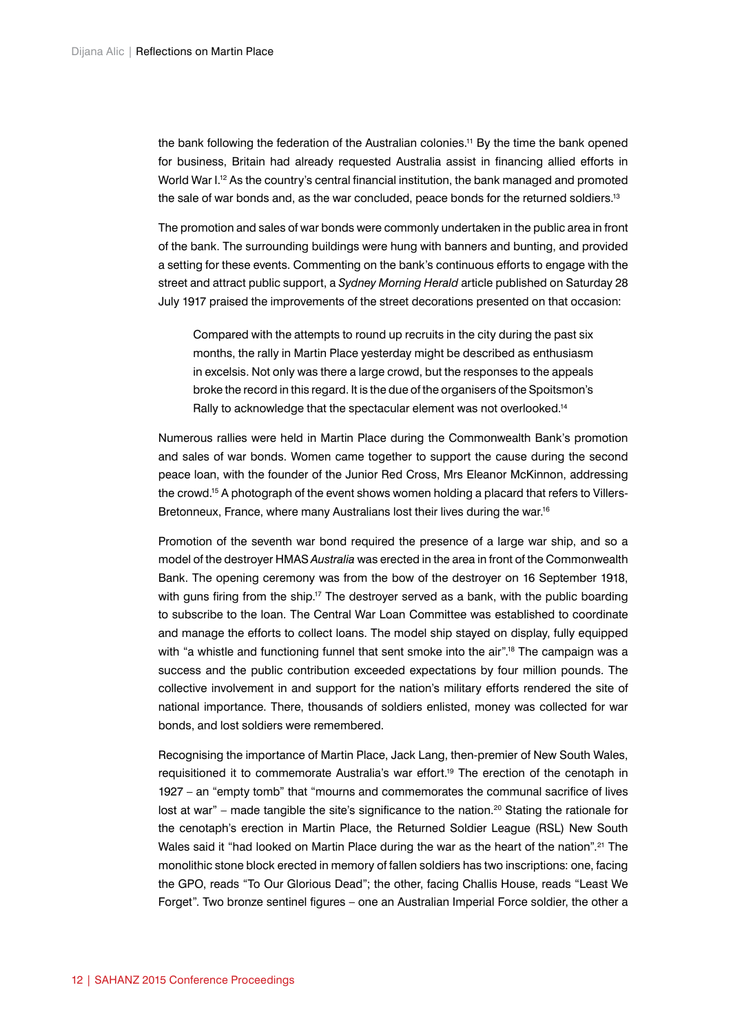the bank following the federation of the Australian colonies.11 By the time the bank opened for business, Britain had already requested Australia assist in financing allied efforts in World War I.<sup>12</sup> As the country's central financial institution, the bank managed and promoted the sale of war bonds and, as the war concluded, peace bonds for the returned soldiers.<sup>13</sup>

The promotion and sales of war bonds were commonly undertaken in the public area in front of the bank. The surrounding buildings were hung with banners and bunting, and provided a setting for these events. Commenting on the bank's continuous efforts to engage with the street and attract public support, a *Sydney Morning Herald* article published on Saturday 28 July 1917 praised the improvements of the street decorations presented on that occasion:

Compared with the attempts to round up recruits in the city during the past six months, the rally in Martin Place yesterday might be described as enthusiasm in excelsis. Not only was there a large crowd, but the responses to the appeals broke the record in this regard. It is the due of the organisers of the Spoitsmon's Rally to acknowledge that the spectacular element was not overlooked.<sup>14</sup>

Numerous rallies were held in Martin Place during the Commonwealth Bank's promotion and sales of war bonds. Women came together to support the cause during the second peace loan, with the founder of the Junior Red Cross, Mrs Eleanor McKinnon, addressing the crowd.<sup>15</sup> A photograph of the event shows women holding a placard that refers to Villers-Bretonneux, France, where many Australians lost their lives during the war.<sup>16</sup>

Promotion of the seventh war bond required the presence of a large war ship, and so a model of the destroyer HMAS *Australia* was erected in the area in front of the Commonwealth Bank. The opening ceremony was from the bow of the destroyer on 16 September 1918, with guns firing from the ship.<sup>17</sup> The destroyer served as a bank, with the public boarding to subscribe to the loan. The Central War Loan Committee was established to coordinate and manage the efforts to collect loans. The model ship stayed on display, fully equipped with "a whistle and functioning funnel that sent smoke into the air".<sup>18</sup> The campaign was a success and the public contribution exceeded expectations by four million pounds. The collective involvement in and support for the nation's military efforts rendered the site of national importance. There, thousands of soldiers enlisted, money was collected for war bonds, and lost soldiers were remembered.

Recognising the importance of Martin Place, Jack Lang, then-premier of New South Wales, requisitioned it to commemorate Australia's war effort.<sup>19</sup> The erection of the cenotaph in 1927 – an "empty tomb" that "mourns and commemorates the communal sacrifice of lives lost at war" – made tangible the site's significance to the nation.<sup>20</sup> Stating the rationale for the cenotaph's erection in Martin Place, the Returned Soldier League (RSL) New South Wales said it "had looked on Martin Place during the war as the heart of the nation".<sup>21</sup> The monolithic stone block erected in memory of fallen soldiers has two inscriptions: one, facing the GPO, reads "To Our Glorious Dead"; the other, facing Challis House, reads "Least We Forget". Two bronze sentinel figures – one an Australian Imperial Force soldier, the other a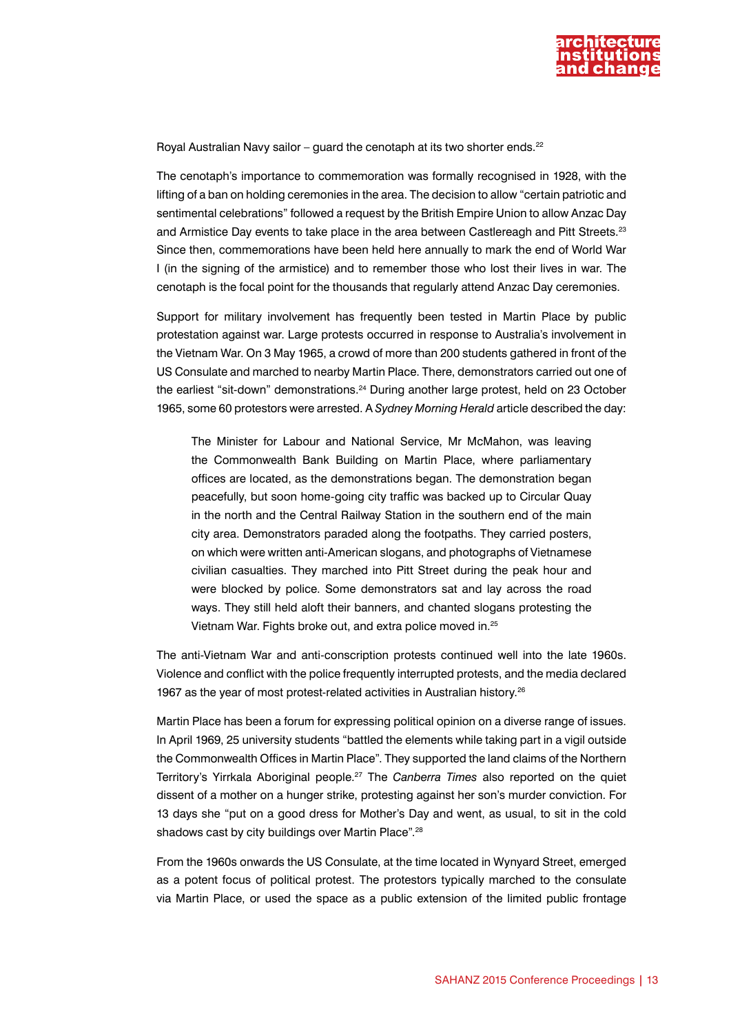

Royal Australian Navy sailor – guard the cenotaph at its two shorter ends.<sup>22</sup>

The cenotaph's importance to commemoration was formally recognised in 1928, with the lifting of a ban on holding ceremonies in the area. The decision to allow "certain patriotic and sentimental celebrations" followed a request by the British Empire Union to allow Anzac Day and Armistice Day events to take place in the area between Castlereagh and Pitt Streets.<sup>23</sup> Since then, commemorations have been held here annually to mark the end of World War I (in the signing of the armistice) and to remember those who lost their lives in war. The cenotaph is the focal point for the thousands that regularly attend Anzac Day ceremonies.

Support for military involvement has frequently been tested in Martin Place by public protestation against war. Large protests occurred in response to Australia's involvement in the Vietnam War. On 3 May 1965, a crowd of more than 200 students gathered in front of the US Consulate and marched to nearby Martin Place. There, demonstrators carried out one of the earliest "sit-down" demonstrations.<sup>24</sup> During another large protest, held on 23 October 1965, some 60 protestors were arrested. A *Sydney Morning Herald* article described the day:

The Minister for Labour and National Service, Mr McMahon, was leaving the Commonwealth Bank Building on Martin Place, where parliamentary offices are located, as the demonstrations began. The demonstration began peacefully, but soon home-going city traffic was backed up to Circular Quay in the north and the Central Railway Station in the southern end of the main city area. Demonstrators paraded along the footpaths. They carried posters, on which were written anti-American slogans, and photographs of Vietnamese civilian casualties. They marched into Pitt Street during the peak hour and were blocked by police. Some demonstrators sat and lay across the road ways. They still held aloft their banners, and chanted slogans protesting the Vietnam War. Fights broke out, and extra police moved in.<sup>25</sup>

The anti-Vietnam War and anti-conscription protests continued well into the late 1960s. Violence and conflict with the police frequently interrupted protests, and the media declared 1967 as the year of most protest-related activities in Australian history.<sup>26</sup>

Martin Place has been a forum for expressing political opinion on a diverse range of issues. In April 1969, 25 university students "battled the elements while taking part in a vigil outside the Commonwealth Offices in Martin Place". They supported the land claims of the Northern Territory's Yirrkala Aboriginal people.27 The *Canberra Times* also reported on the quiet dissent of a mother on a hunger strike, protesting against her son's murder conviction. For 13 days she "put on a good dress for Mother's Day and went, as usual, to sit in the cold shadows cast by city buildings over Martin Place".<sup>28</sup>

From the 1960s onwards the US Consulate, at the time located in Wynyard Street, emerged as a potent focus of political protest. The protestors typically marched to the consulate via Martin Place, or used the space as a public extension of the limited public frontage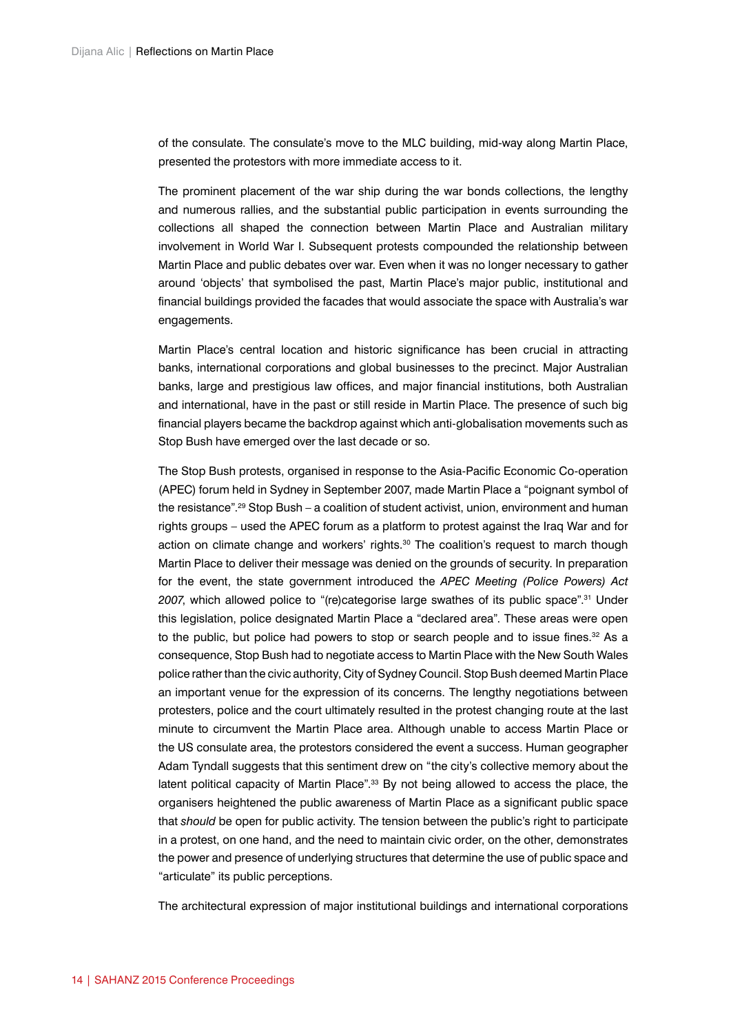of the consulate. The consulate's move to the MLC building, mid-way along Martin Place, presented the protestors with more immediate access to it.

The prominent placement of the war ship during the war bonds collections, the lengthy and numerous rallies, and the substantial public participation in events surrounding the collections all shaped the connection between Martin Place and Australian military involvement in World War I. Subsequent protests compounded the relationship between Martin Place and public debates over war. Even when it was no longer necessary to gather around 'objects' that symbolised the past, Martin Place's major public, institutional and financial buildings provided the facades that would associate the space with Australia's war engagements.

Martin Place's central location and historic significance has been crucial in attracting banks, international corporations and global businesses to the precinct. Major Australian banks, large and prestigious law offices, and major financial institutions, both Australian and international, have in the past or still reside in Martin Place. The presence of such big financial players became the backdrop against which anti-globalisation movements such as Stop Bush have emerged over the last decade or so.

The Stop Bush protests, organised in response to the Asia-Pacific Economic Co-operation (APEC) forum held in Sydney in September 2007, made Martin Place a "poignant symbol of the resistance".<sup>29</sup> Stop Bush – a coalition of student activist, union, environment and human rights groups – used the APEC forum as a platform to protest against the Iraq War and for action on climate change and workers' rights. $30$  The coalition's request to march though Martin Place to deliver their message was denied on the grounds of security. In preparation for the event, the state government introduced the *APEC Meeting (Police Powers) Act 2007*, which allowed police to "(re)categorise large swathes of its public space".31 Under this legislation, police designated Martin Place a "declared area". These areas were open to the public, but police had powers to stop or search people and to issue fines. $32$  As a consequence, Stop Bush had to negotiate access to Martin Place with the New South Wales police rather than the civic authority, City of Sydney Council. Stop Bush deemed Martin Place an important venue for the expression of its concerns. The lengthy negotiations between protesters, police and the court ultimately resulted in the protest changing route at the last minute to circumvent the Martin Place area. Although unable to access Martin Place or the US consulate area, the protestors considered the event a success. Human geographer Adam Tyndall suggests that this sentiment drew on "the city's collective memory about the latent political capacity of Martin Place".33 By not being allowed to access the place, the organisers heightened the public awareness of Martin Place as a significant public space that *should* be open for public activity. The tension between the public's right to participate in a protest, on one hand, and the need to maintain civic order, on the other, demonstrates the power and presence of underlying structures that determine the use of public space and "articulate" its public perceptions.

The architectural expression of major institutional buildings and international corporations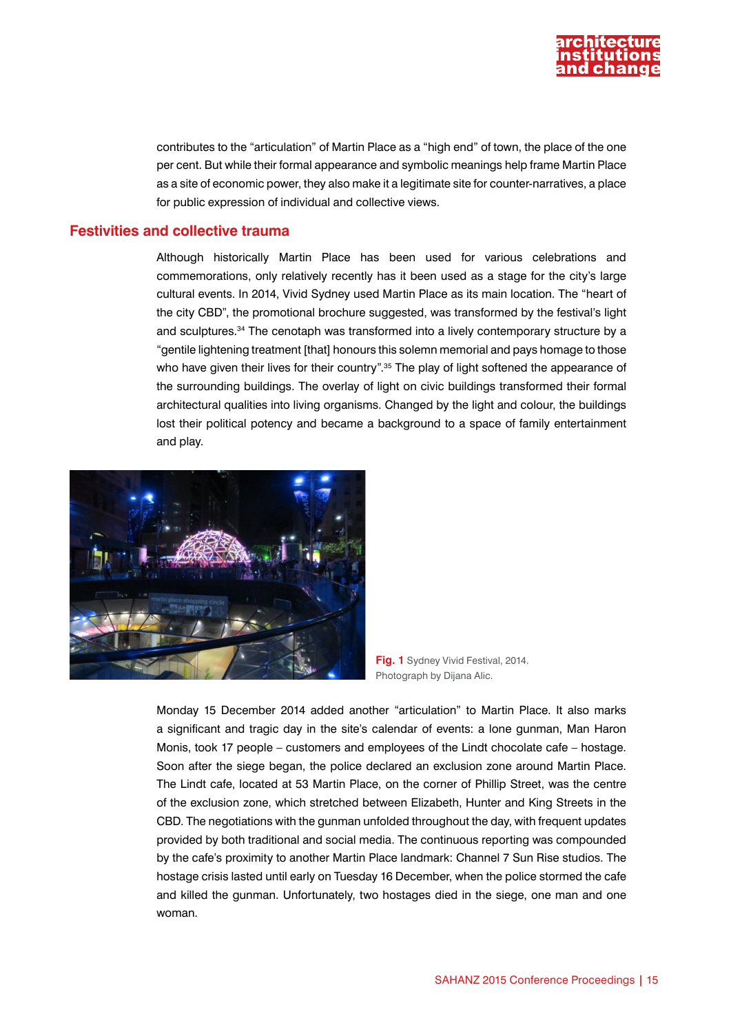

contributes to the "articulation" of Martin Place as a "high end" of town, the place of the one per cent. But while their formal appearance and symbolic meanings help frame Martin Place as a site of economic power, they also make it a legitimate site for counter-narratives, a place for public expression of individual and collective views.

#### **Festivities and collective trauma**

Although historically Martin Place has been used for various celebrations and commemorations, only relatively recently has it been used as a stage for the city's large cultural events. In 2014, Vivid Sydney used Martin Place as its main location. The "heart of the city CBD", the promotional brochure suggested, was transformed by the festival's light and sculptures.34 The cenotaph was transformed into a lively contemporary structure by a "gentile lightening treatment [that] honours this solemn memorial and pays homage to those who have given their lives for their country".<sup>35</sup> The play of light softened the appearance of the surrounding buildings. The overlay of light on civic buildings transformed their formal architectural qualities into living organisms. Changed by the light and colour, the buildings lost their political potency and became a background to a space of family entertainment and play.



**Fig. 1** Sydney Vivid Festival, 2014. Photograph by Dijana Alic.

Monday 15 December 2014 added another "articulation" to Martin Place. It also marks a significant and tragic day in the site's calendar of events: a lone gunman, [Man Haron](http://en.wikipedia.org/wiki/Man_Haron_Monis) [Monis](http://en.wikipedia.org/wiki/Man_Haron_Monis), took 17 people – customers and employees of the [Lindt](http://en.wikipedia.org/wiki/Lindt_%26_Spr%C3%BCngli) chocolate cafe – hostage. Soon after the siege began, the police declared an exclusion zone around Martin Place. The Lindt cafe, located at 53 Martin Place, on the corner of Phillip Street, was the centre of the exclusion zone, which stretched between Elizabeth, Hunter and King Streets in the CBD. The negotiations with the gunman unfolded throughout the day, with frequent updates provided by both traditional and social media. The continuous reporting was compounded by the cafe's proximity to another Martin Place landmark: Channel 7 Sun Rise studios. The hostage crisis lasted until early on Tuesday 16 December, when the police stormed the cafe and killed the gunman. Unfortunately, two hostages died in the siege, one man and one woman.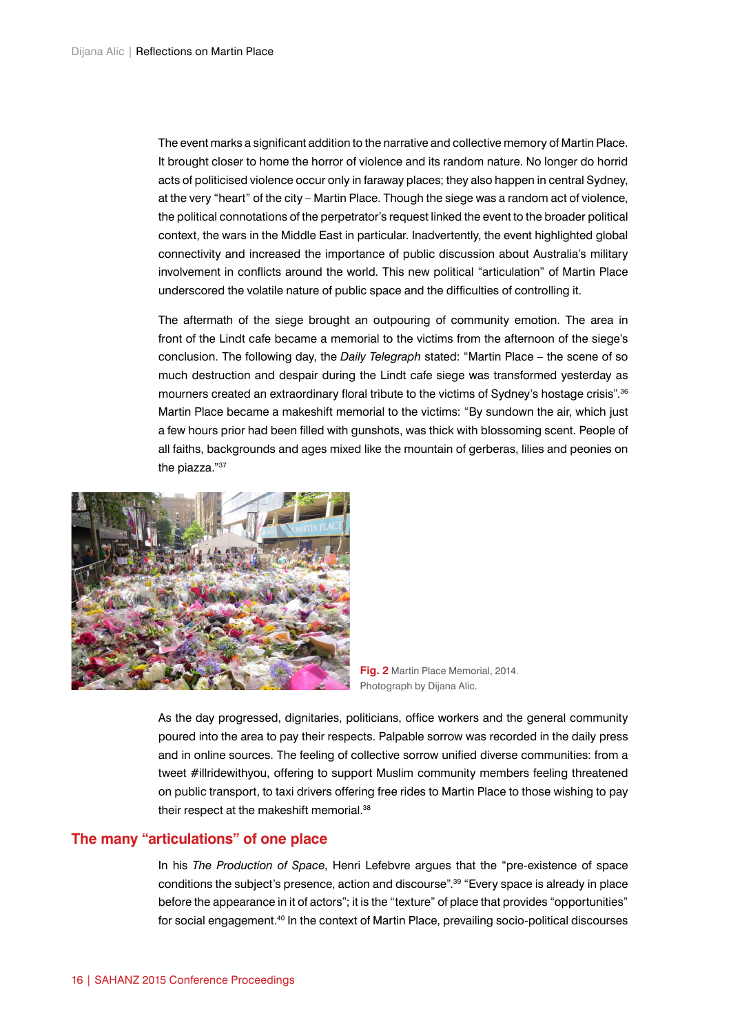The event marks a significant addition to the narrative and collective memory of Martin Place. It brought closer to home the horror of violence and its random nature. No longer do horrid acts of politicised violence occur only in faraway places; they also happen in central Sydney, at the very "heart" of the city – Martin Place. Though the siege was a random act of violence, the political connotations of the perpetrator's request linked the event to the broader political context, the wars in the Middle East in particular. Inadvertently, the event highlighted global connectivity and increased the importance of public discussion about Australia's military involvement in conflicts around the world. This new political "articulation" of Martin Place underscored the volatile nature of public space and the difficulties of controlling it.

The aftermath of the siege brought an outpouring of community emotion. The area in front of the Lindt cafe became a memorial to the victims from the afternoon of the siege's conclusion. The following day, the *Daily Telegraph* stated: "Martin Place – the scene of so much destruction and despair during the Lindt cafe siege was transformed yesterday as mourners created an extraordinary floral tribute to the victims of Sydney's hostage crisis".<sup>36</sup> Martin Place became a makeshift memorial to the victims: "By sundown the air, which just a few hours prior had been filled with gunshots, was thick with blossoming scent. People of all faiths, backgrounds and ages mixed like the mountain of gerberas, lilies and peonies on the piazza."37



**Fig. 2** Martin Place Memorial, 2014. Photograph by Dijana Alic.

As the day progressed, dignitaries, politicians, office workers and the general community poured into the area to pay their respects. Palpable sorrow was recorded in the daily press and in online sources. The feeling of collective sorrow unified diverse communities: from a tweet #illridewithyou, offering to support Muslim community members feeling threatened on public transport, to taxi drivers offering free rides to Martin Place to those wishing to pay their respect at the makeshift memorial.<sup>38</sup>

### **The many "articulations" of one place**

In his *The Production of Space*, Henri Lefebvre argues that the "pre-existence of space conditions the subject's presence, action and discourse".<sup>39</sup> "Every space is already in place before the appearance in it of actors"; it is the "texture" of place that provides "opportunities" for social engagement.<sup>40</sup> In the context of Martin Place, prevailing socio-political discourses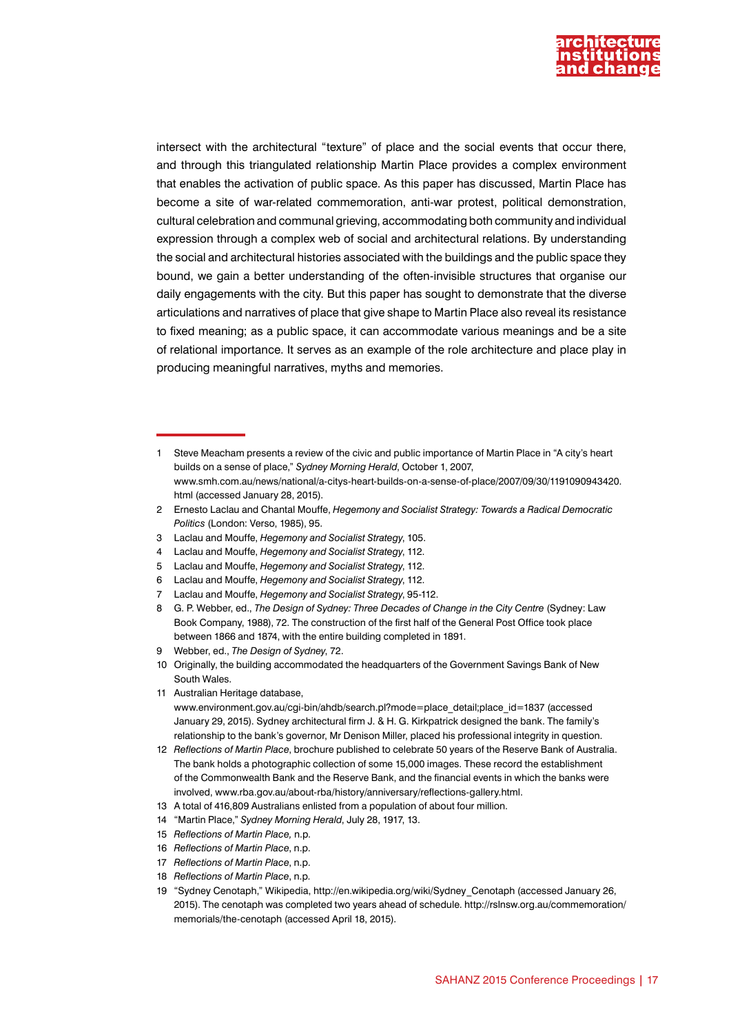

intersect with the architectural "texture" of place and the social events that occur there, and through this triangulated relationship Martin Place provides a complex environment that enables the activation of public space. As this paper has discussed, Martin Place has become a site of war-related commemoration, anti-war protest, political demonstration, cultural celebration and communal grieving, accommodating both community and individual expression through a complex web of social and architectural relations. By understanding the social and architectural histories associated with the buildings and the public space they bound, we gain a better understanding of the often-invisible structures that organise our daily engagements with the city. But this paper has sought to demonstrate that the diverse articulations and narratives of place that give shape to Martin Place also reveal its resistance to fixed meaning; as a public space, it can accommodate various meanings and be a site of relational importance. It serves as an example of the role architecture and place play in producing meaningful narratives, myths and memories.

- 3 Laclau and Mouffe, *Hegemony and Socialist Strategy*, 105.
- 4 Laclau and Mouffe, *Hegemony and Socialist Strategy*, 112.
- 5 Laclau and Mouffe, *Hegemony and Socialist Strategy*, 112.
- 6 Laclau and Mouffe, *Hegemony and Socialist Strategy*, 112.
- 7 Laclau and Mouffe, *Hegemony and Socialist Strategy*, 95-112.
- 8 G. P. Webber, ed., *The Design of Sydney: Three Decades of Change in the City Centre* (Sydney: Law Book Company, 1988), 72. The construction of the first half of the General Post Office took place between 1866 and 1874, with the entire building completed in 1891.
- 9 Webber, ed., *The Design of Sydney*, 72.
- 10 Originally, the building accommodated the headquarters of the Government Savings Bank of New South Wales.
- 11 Australian Heritage database,

[www.environment.gov.au/cgi-bin/ahdb/search.pl?mode=place\\_detail;place\\_id=1837](http://www.environment.gov.au/cgi-bin/ahdb/search.pl?mode=place_detail;place_id=1837) (accessed January 29, 2015). Sydney architectural firm J. & H. G. Kirkpatrick designed the bank. The family's relationship to the bank's governor, Mr Denison Miller, placed his professional integrity in question.

12 *Reflections of Martin Place*, brochure published to celebrate 50 years of the Reserve Bank of Australia. The bank holds a photographic collection of some 15,000 images. These record the establishment of the Commonwealth Bank and the Reserve Bank, and the financial events in which the banks were involved, [www.rba.gov.au/about-rba/history/anniversary/reflections-gallery.html.](http://www.rba.gov.au/about-rba/history/anniversary/reflections-gallery.html)

- 13 A total of 416,809 Australians enlisted from a population of about four million.
- 14 "Martin Place," *Sydney Morning Herald*, July 28, 1917, 13.
- 15 *Reflections of Martin Place,* n.p.
- 16 *Reflections of Martin Place*, n.p.
- 17 *Reflections of Martin Place*, n.p.
- 18 *Reflections of Martin Place*, n.p.
- 19 "Sydney Cenotaph," Wikipedia, [http://en.wikipedia.org/wiki/Sydney\\_Cenotaph](http://en.wikipedia.org/wiki/Sydney_Cenotaph) (accessed January 26, 2015). The cenotaph was completed two years ahead of schedule. [http://rslnsw.org.au/commemoration/](http://rslnsw.org.au/commemoration/memorials/the-cenotaph) [memorials/the-cenotaph](http://rslnsw.org.au/commemoration/memorials/the-cenotaph) (accessed April 18, 2015).

<sup>1</sup> Steve Meacham presents a review of the civic and public importance of Martin Place in "A city's heart builds on a sense of place," *Sydney Morning Herald*, October 1, 2007, [www.smh.com.au/news/national/a-citys-heart-builds-on-a-sense-of-place/2007/09/30/1191090943420.](http://www.smh.com.au/news/national/a-citys-heart-builds-on-a-sense-of-place/2007/09/30/1191090943420.html) [html](http://www.smh.com.au/news/national/a-citys-heart-builds-on-a-sense-of-place/2007/09/30/1191090943420.html) (accessed January 28, 2015).

<sup>2</sup> Ernesto Laclau and Chantal Mouffe, *Hegemony and Socialist Strategy: Towards a Radical Democratic Politics* (London: Verso, 1985), 95.